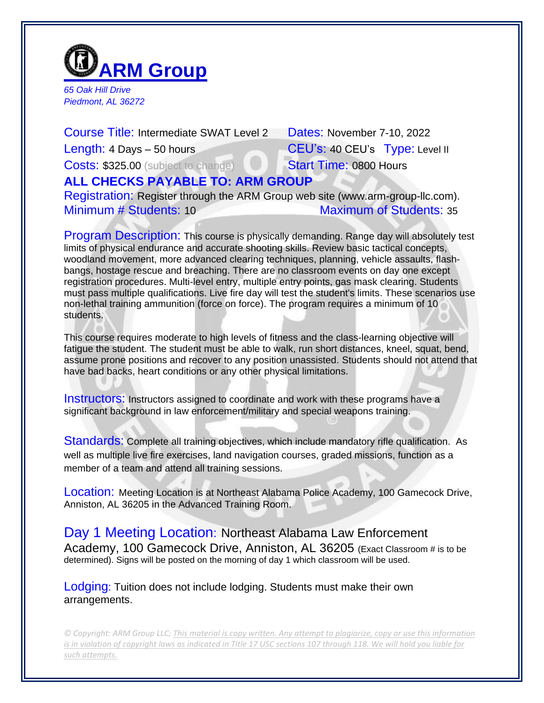

*65 Oak Hill Drive Piedmont, AL 36272*

Course Title: Intermediate SWAT Level 2 Dates: November 7-10, 2022 Length: 4 Days – 50 hours CEU's: 40 CEU's Type: Level II Costs: \$325.00 (subject to change) Start Time: 0800 Hours **ALL CHECKS PAYABLE TO: ARM GROUP** Registration: Register through the ARM Group web site (www.arm-group-llc.com). Minimum # Students: 10 Maximum of Students: 35

Program Description: This course is physically demanding. Range day will absolutely test limits of physical endurance and accurate shooting skills. Review basic tactical concepts, woodland movement, more advanced clearing techniques, planning, vehicle assaults, flashbangs, hostage rescue and breaching. There are no classroom events on day one except registration procedures. Multi-level entry, multiple entry points, gas mask clearing. Students must pass multiple qualifications. Live fire day will test the student's limits. These scenarios use non-lethal training ammunition (force on force). The program requires a minimum of 10 students.

This course requires moderate to high levels of fitness and the class-learning objective will fatigue the student. The student must be able to walk, run short distances, kneel, squat, bend, assume prone positions and recover to any position unassisted. Students should not attend that have bad backs, heart conditions or any other physical limitations.

Instructors: Instructors assigned to coordinate and work with these programs have a significant background in law enforcement/military and special weapons training.

Standards: Complete all training objectives, which include mandatory rifle qualification. As well as multiple live fire exercises, land navigation courses, graded missions, function as a member of a team and attend all training sessions.

Location: Meeting Location is at Northeast Alabama Police Academy, 100 Gamecock Drive, Anniston, AL 36205 in the Advanced Training Room.

Day 1 Meeting Location: Northeast Alabama Law Enforcement Academy, 100 Gamecock Drive, Anniston, AL 36205 (Exact Classroom # is to be determined). Signs will be posted on the morning of day 1 which classroom will be used.

Lodging: Tuition does not include lodging. Students must make their own arrangements.

*© Copyright: ARM Group LLC; This material is copy written. Any attempt to plagiarize, copy or use this information is in violation of copyright laws as indicated in Title 17 USC sections 107 through 118. We will hold you liable for such attempts.*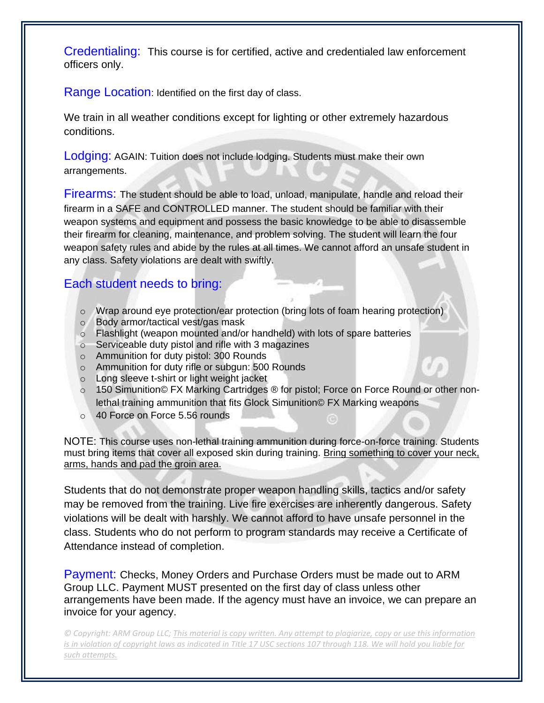Credentialing: This course is for certified, active and credentialed law enforcement officers only.

Range Location: Identified on the first day of class.

We train in all weather conditions except for lighting or other extremely hazardous conditions.

Lodging: AGAIN: Tuition does not include lodging. Students must make their own arrangements.

Firearms: The student should be able to load, unload, manipulate, handle and reload their firearm in a SAFE and CONTROLLED manner. The student should be familiar with their weapon systems and equipment and possess the basic knowledge to be able to disassemble their firearm for cleaning, maintenance, and problem solving. The student will learn the four weapon safety rules and abide by the rules at all times. We cannot afford an unsafe student in any class. Safety violations are dealt with swiftly.

## Each student needs to bring:

- $\circ$  Wrap around eye protection/ear protection (bring lots of foam hearing protection)
- o Body armor/tactical vest/gas mask
- o Flashlight (weapon mounted and/or handheld) with lots of spare batteries
- o Serviceable duty pistol and rifle with 3 magazines
- o Ammunition for duty pistol: 300 Rounds
- o Ammunition for duty rifle or subgun: 500 Rounds
- o Long sleeve t-shirt or light weight jacket
- o 150 Simunition© FX Marking Cartridges ® for pistol; Force on Force Round or other nonlethal training ammunition that fits Glock Simunition© FX Marking weapons
- o 40 Force on Force 5.56 rounds

NOTE: This course uses non-lethal training ammunition during force-on-force training. Students must bring items that cover all exposed skin during training. Bring something to cover your neck, arms, hands and pad the groin area.

Students that do not demonstrate proper weapon handling skills, tactics and/or safety may be removed from the training. Live fire exercises are inherently dangerous. Safety violations will be dealt with harshly. We cannot afford to have unsafe personnel in the class. Students who do not perform to program standards may receive a Certificate of Attendance instead of completion.

Payment: Checks, Money Orders and Purchase Orders must be made out to ARM Group LLC. Payment MUST presented on the first day of class unless other arrangements have been made. If the agency must have an invoice, we can prepare an invoice for your agency.

*© Copyright: ARM Group LLC; This material is copy written. Any attempt to plagiarize, copy or use this information is in violation of copyright laws as indicated in Title 17 USC sections 107 through 118. We will hold you liable for such attempts.*